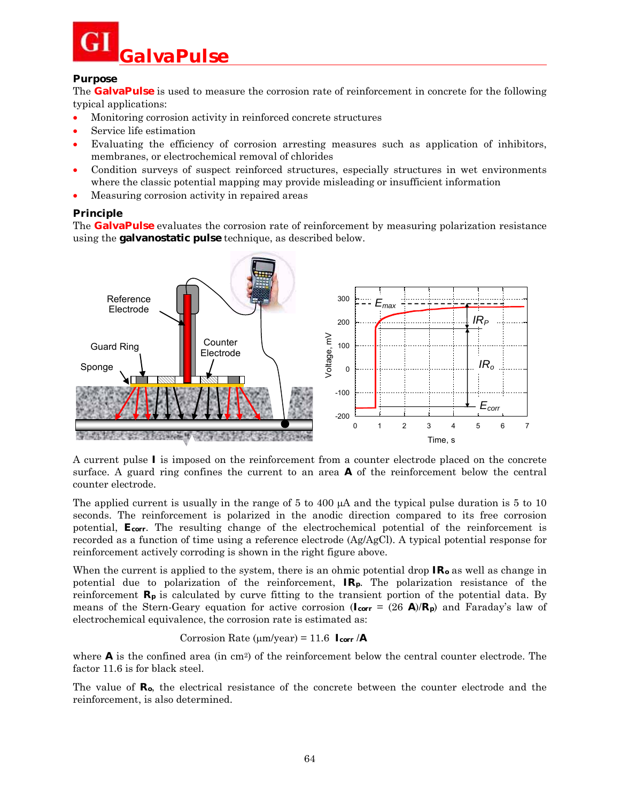

#### **Purpose**

The **GalvaPulse** is used to measure the corrosion rate of reinforcement in concrete for the following typical applications:

- Monitoring corrosion activity in reinforced concrete structures
- Service life estimation
- Evaluating the efficiency of corrosion arresting measures such as application of inhibitors, membranes, or electrochemical removal of chlorides
- Condition surveys of suspect reinforced structures, especially structures in wet environments where the classic potential mapping may provide misleading or insufficient information
- Measuring corrosion activity in repaired areas

### **Principle**

The **GalvaPulse** evaluates the corrosion rate of reinforcement by measuring polarization resistance using the **galvanostatic pulse** technique, as described below.



A current pulse *I* is imposed on the reinforcement from a counter electrode placed on the concrete surface. A guard ring confines the current to an area *A* of the reinforcement below the central counter electrode.

The applied current is usually in the range of 5 to 400  $\mu$ A and the typical pulse duration is 5 to 10 seconds. The reinforcement is polarized in the anodic direction compared to its free corrosion potential, *Ecorr*. The resulting change of the electrochemical potential of the reinforcement is recorded as a function of time using a reference electrode (Ag/AgCl). A typical potential response for reinforcement actively corroding is shown in the right figure above.

When the current is applied to the system, there is an ohmic potential drop *IRo* as well as change in potential due to polarization of the reinforcement, *IRp*. The polarization resistance of the reinforcement  $R_p$  is calculated by curve fitting to the transient portion of the potential data. By means of the Stern-Geary equation for active corrosion  $(I_{corr} = (26 \text{ A})/R_p)$  and Faraday's law of electrochemical equivalence, the corrosion rate is estimated as:

### Corrosion Rate ( $\mu$ m/year) = 11.6  $I_{corr}/A$

where  $\vec{A}$  is the confined area (in cm<sup>2</sup>) of the reinforcement below the central counter electrode. The factor 11.6 is for black steel.

The value of  $\mathbb{R}_{o}$ , the electrical resistance of the concrete between the counter electrode and the reinforcement, is also determined.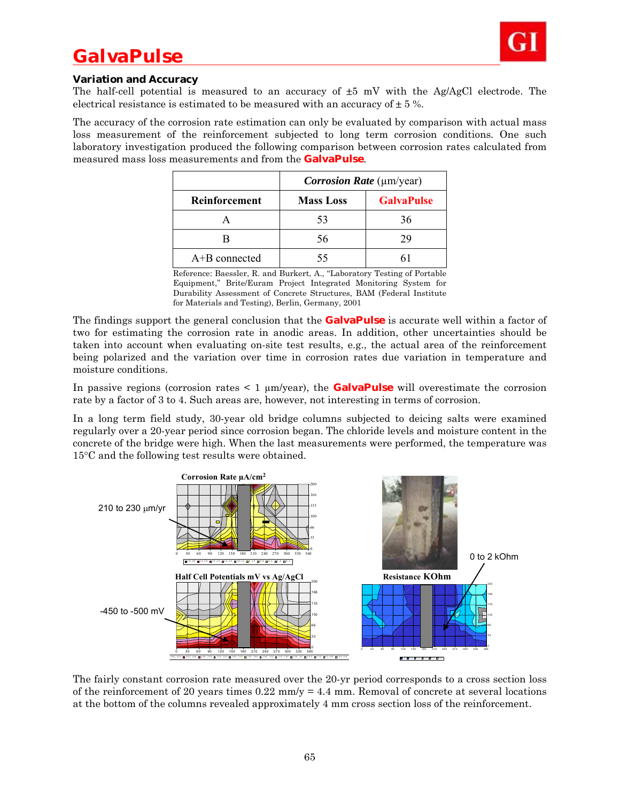# *GalvaPulse*



#### **Variation and Accuracy**

The half-cell potential is measured to an accuracy of  $\pm 5$  mV with the Ag/AgCl electrode. The electrical resistance is estimated to be measured with an accuracy of  $\pm$  5 %.

The accuracy of the corrosion rate estimation can only be evaluated by comparison with actual mass loss measurement of the reinforcement subjected to long term corrosion conditions. One such laboratory investigation produced the following comparison between corrosion rates calculated from measured mass loss measurements and from the **GalvaPulse**.

|                      | <i>Corrosion Rate</i> (µm/year) |                   |
|----------------------|---------------------------------|-------------------|
| <b>Reinforcement</b> | <b>Mass Loss</b>                | <b>GalvaPulse</b> |
|                      | 53                              | 36                |
|                      | 56                              |                   |
| $A+B$ connected      |                                 |                   |

Reference: Baessler, R. and Burkert, A., "Laboratory Testing of Portable Equipment," Brite/Euram Project Integrated Monitoring System for Durability Assessment of Concrete Structures, BAM (Federal Institute for Materials and Testing), Berlin, Germany, 2001

The findings support the general conclusion that the **GalvaPulse** is accurate well within a factor of two for estimating the corrosion rate in anodic areas. In addition, other uncertainties should be taken into account when evaluating on-site test results, e.g., the actual area of the reinforcement being polarized and the variation over time in corrosion rates due variation in temperature and moisture conditions.

In passive regions (corrosion rates  $\leq 1 \mu m/year$ ), the **GalvaPulse** will overestimate the corrosion rate by a factor of 3 to 4. Such areas are, however, not interesting in terms of corrosion.

In a long term field study, 30-year old bridge columns subjected to deicing salts were examined regularly over a 20-year period since corrosion began. The chloride levels and moisture content in the concrete of the bridge were high. When the last measurements were performed, the temperature was  $15^{\circ}$ C and the following test results were obtained.



The fairly constant corrosion rate measured over the 20-yr period corresponds to a cross section loss of the reinforcement of 20 years times  $0.22 \text{ mm/y} = 4.4 \text{ mm}$ . Removal of concrete at several locations at the bottom of the columns revealed approximately 4 mm cross section loss of the reinforcement.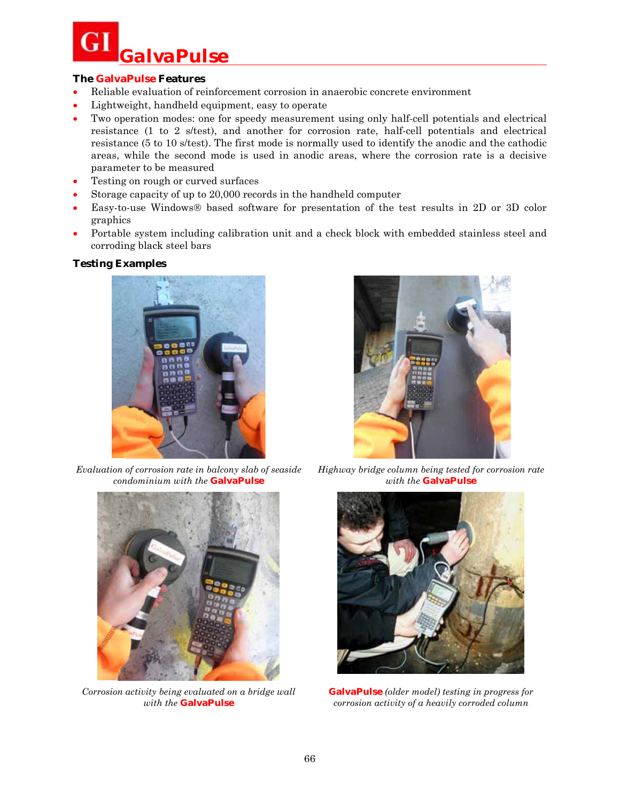

#### **The GalvaPulse Features**

- Reliable evaluation of reinforcement corrosion in anaerobic concrete environment
- Lightweight, handheld equipment, easy to operate
- Two operation modes: one for speedy measurement using only half-cell potentials and electrical resistance (1 to 2 s/test), and another for corrosion rate, half-cell potentials and electrical resistance (5 to 10 s/test). The first mode is normally used to identify the anodic and the cathodic areas, while the second mode is used in anodic areas, where the corrosion rate is a decisive parameter to be measured
- Testing on rough or curved surfaces
- Storage capacity of up to 20,000 records in the handheld computer
- Easy-to-use Windows<sup>®</sup> based software for presentation of the test results in 2D or 3D color graphics
- Portable system including calibration unit and a check block with embedded stainless steel and corroding black steel bars

#### **Testing Examples**



*Evaluation of corrosion rate in balcony slab of seaside condominium with the* **GalvaPulse**



*Corrosion activity being evaluated on a bridge wall with the* **GalvaPulse**



*Highway bridge column being tested for corrosion rate with the* **GalvaPulse**



**GalvaPulse** *(older model) testing in progress for corrosion activity of a heavily corroded column*